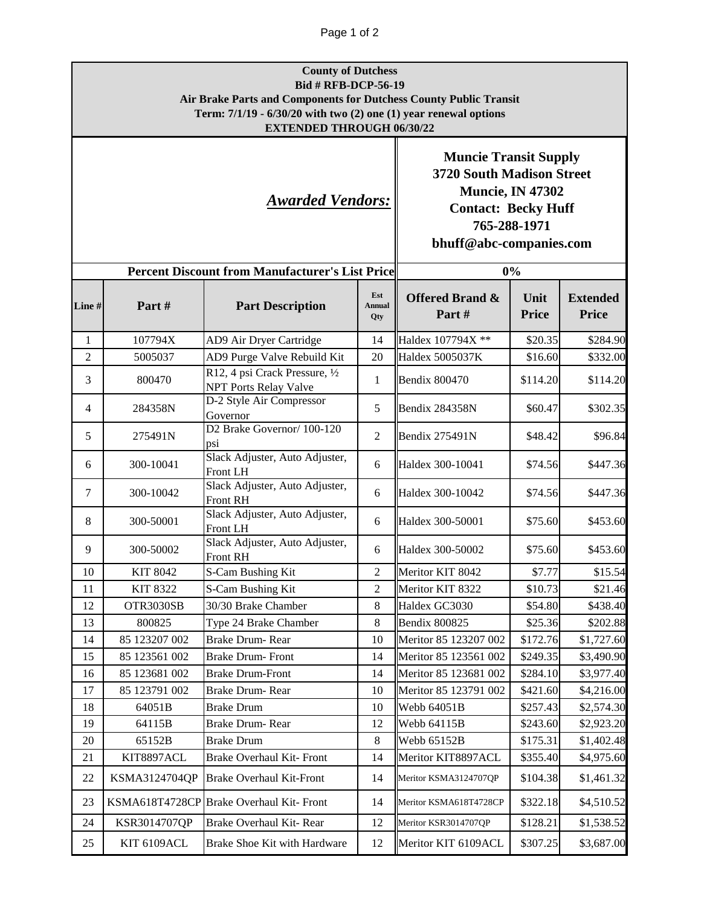## Page 1 of 2

| <b>County of Dutchess</b>                                          |
|--------------------------------------------------------------------|
| <b>Bid # RFB-DCP-56-19</b>                                         |
| Air Brake Parts and Components for Dutchess County Public Transit  |
| Term: $7/1/19 - 6/30/20$ with two (2) one (1) year renewal options |
| <b>EXTENDED THROUGH 06/30/22</b>                                   |

*Awarded Vendors:*

**Muncie Transit Supply 3720 South Madison Street Muncie, IN 47302 Contact: Becky Huff 765-288-1971**

**bhuff@abc-companies.com**

| <b>Percent Discount from Manufacturer's List Price</b> |                 |                                                                |                             | 0%                                  |                      |                                 |
|--------------------------------------------------------|-----------------|----------------------------------------------------------------|-----------------------------|-------------------------------------|----------------------|---------------------------------|
| Line#                                                  | Part#           | <b>Part Description</b>                                        | Est<br><b>Annual</b><br>Qty | <b>Offered Brand &amp;</b><br>Part# | Unit<br><b>Price</b> | <b>Extended</b><br><b>Price</b> |
| $\mathbf{1}$                                           | 107794X         | AD9 Air Dryer Cartridge                                        | 14                          | Haldex 107794X **                   | \$20.35              | \$284.90                        |
| $\overline{2}$                                         | 5005037         | AD9 Purge Valve Rebuild Kit                                    | 20                          | Haldex 5005037K                     | \$16.60              | \$332.00                        |
| 3                                                      | 800470          | R12, 4 psi Crack Pressure, 1/2<br><b>NPT Ports Relay Valve</b> | $\mathbf{1}$                | <b>Bendix 800470</b>                | \$114.20             | \$114.20                        |
| 4                                                      | 284358N         | D-2 Style Air Compressor<br>Governor                           | 5                           | <b>Bendix 284358N</b>               | \$60.47              | \$302.35                        |
| 5                                                      | 275491N         | D2 Brake Governor/100-120<br>psi                               | $\overline{2}$              | Bendix 275491N                      | \$48.42              | \$96.84                         |
| 6                                                      | 300-10041       | Slack Adjuster, Auto Adjuster,<br>Front LH                     | 6                           | Haldex 300-10041                    | \$74.56              | \$447.36                        |
| 7                                                      | 300-10042       | Slack Adjuster, Auto Adjuster,<br>Front RH                     | 6                           | Haldex 300-10042                    | \$74.56              | \$447.36                        |
| 8                                                      | 300-50001       | Slack Adjuster, Auto Adjuster,<br>Front LH                     | 6                           | Haldex 300-50001                    | \$75.60              | \$453.60                        |
| 9                                                      | 300-50002       | Slack Adjuster, Auto Adjuster,<br>Front RH                     | 6                           | Haldex 300-50002                    | \$75.60              | \$453.60                        |
| 10                                                     | KIT 8042        | S-Cam Bushing Kit                                              | $\overline{2}$              | Meritor KIT 8042                    | \$7.77               | \$15.54                         |
| 11                                                     | <b>KIT 8322</b> | S-Cam Bushing Kit                                              | $\overline{2}$              | Meritor KIT 8322                    | \$10.73              | \$21.46                         |
| 12                                                     | OTR3030SB       | 30/30 Brake Chamber                                            | $\,8\,$                     | Haldex GC3030                       | \$54.80              | \$438.40                        |
| 13                                                     | 800825          | Type 24 Brake Chamber                                          | 8                           | Bendix 800825                       | \$25.36              | \$202.88                        |
| 14                                                     | 85 123207 002   | Brake Drum- Rear                                               | 10                          | Meritor 85 123207 002               | \$172.76             | \$1,727.60                      |
| 15                                                     | 85 123561 002   | <b>Brake Drum-Front</b>                                        | 14                          | Meritor 85 123561 002               | \$249.35             | \$3,490.90                      |
| 16                                                     | 85 123681 002   | <b>Brake Drum-Front</b>                                        | 14                          | Meritor 85 123681 002               | \$284.10             | \$3,977.40                      |
| 17                                                     | 85 123791 002   | <b>Brake Drum-Rear</b>                                         | 10                          | Meritor 85 123791 002               | \$421.60             | \$4,216.00                      |
| 18                                                     | 64051B          | Brake Drum                                                     | 10                          | Webb 64051B                         | \$257.43             | \$2,574.30                      |
| 19                                                     | 64115B          | <b>Brake Drum-Rear</b>                                         | 12                          | Webb 64115B                         | \$243.60             | \$2,923.20                      |
| 20                                                     | 65152B          | <b>Brake Drum</b>                                              | 8                           | Webb 65152B                         | \$175.31             | \$1,402.48                      |
| 21                                                     | KIT8897ACL      | <b>Brake Overhaul Kit-Front</b>                                | 14                          | Meritor KIT8897ACL                  | \$355.40             | \$4,975.60                      |
| 22                                                     | KSMA3124704QP   | <b>Brake Overhaul Kit-Front</b>                                | 14                          | Meritor KSMA3124707QP               | \$104.38             | \$1,461.32                      |
| 23                                                     |                 | KSMA618T4728CP Brake Overhaul Kit-Front                        | 14                          | Meritor KSMA618T4728CP              | \$322.18             | \$4,510.52                      |
| 24                                                     | KSR3014707QP    | Brake Overhaul Kit- Rear                                       | 12                          | Meritor KSR3014707QP                | \$128.21             | \$1,538.52                      |
| 25                                                     | KIT 6109ACL     | Brake Shoe Kit with Hardware                                   | 12                          | Meritor KIT 6109ACL                 | \$307.25             | \$3,687.00                      |